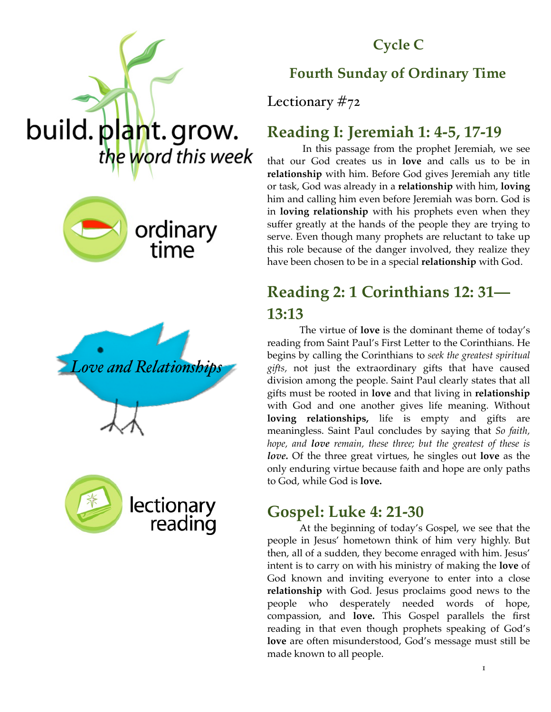

**Cycle C**

## **Fourth Sunday of Ordinary Time**

Lectionary #72

## **Reading I: Jeremiah 1: 4-5, 17-19**

 In this passage from the prophet Jeremiah, we see that our God creates us in **love** and calls us to be in **relationship** with him. Before God gives Jeremiah any title or task, God was already in a **relationship** with him, **loving**  him and calling him even before Jeremiah was born. God is in **loving relationship** with his prophets even when they suffer greatly at the hands of the people they are trying to serve. Even though many prophets are reluctant to take up this role because of the danger involved, they realize they have been chosen to be in a special **relationship** with God.

# **Reading 2: 1 Corinthians 12: 31— 13:13**

The virtue of **love** is the dominant theme of today's reading from Saint Paul's First Letter to the Corinthians. He begins by calling the Corinthians to *seek the greatest spiritual gifts,* not just the extraordinary gifts that have caused division among the people. Saint Paul clearly states that all gifts must be rooted in **love** and that living in **relationship**  with God and one another gives life meaning. Without **loving relationships,** life is empty and gifts are meaningless. Saint Paul concludes by saying that *So faith, hope, and love remain, these three; but the greatest of these is love.* Of the three great virtues, he singles out **love** as the only enduring virtue because faith and hope are only paths to God, while God is **love.** 

## **Gospel: Luke 4: 21-30**

At the beginning of today's Gospel, we see that the people in Jesus' hometown think of him very highly. But then, all of a sudden, they become enraged with him. Jesus' intent is to carry on with his ministry of making the **love** of God known and inviting everyone to enter into a close **relationship** with God. Jesus proclaims good news to the people who desperately needed words of hope, compassion, and **love.** This Gospel parallels the first reading in that even though prophets speaking of God's **love** are often misunderstood, God's message must still be made known to all people.







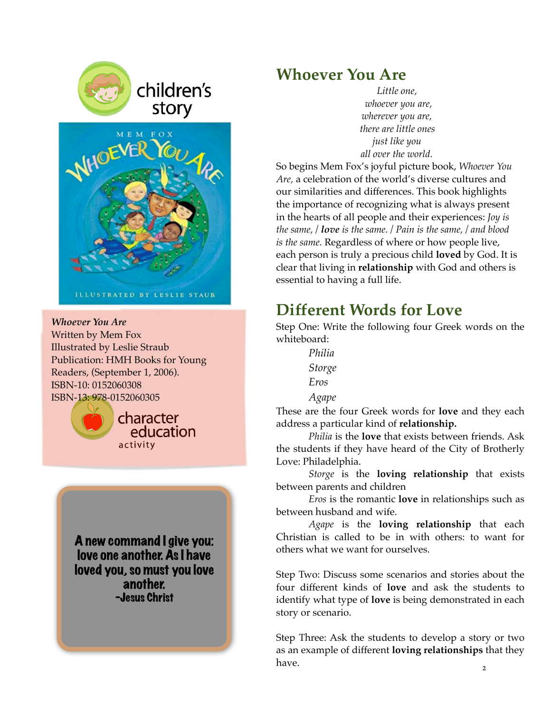



story

**ILLUSTRATED BY LESLIE STAUB** 

*Whoever You Are*  Written by Mem Fox Illustrated by Leslie Straub Publication: HMH Books for Young Readers, (September 1, 2006). ISBN-10: 0152060308 ISBN-13: 978-0152060305



character education activity

A new command I give you: love one another. As I have loved you, so must you love another. -Jesus Christ

### **Whoever You Are**

*Little one, whoever you are, wherever you are, there are little ones just like you all over the world.* 

So begins Mem Fox's joyful picture book, *Whoever You Are,* a celebration of the world's diverse cultures and our similarities and differences. This book highlights the importance of recognizing what is always present in the hearts of all people and their experiences: *Joy is the same, / love is the same. / Pain is the same, / and blood is the same.* Regardless of where or how people live, each person is truly a precious child **loved** by God. It is clear that living in **relationship** with God and others is essential to having a full life.

## **Different Words for Love**

Step One: Write the following four Greek words on the whiteboard:

> *Philia Storge Eros Agape*

These are the four Greek words for **love** and they each address a particular kind of **relationship.** 

*Philia* is the **love** that exists between friends. Ask the students if they have heard of the City of Brotherly Love: Philadelphia.

*Storge* is the **loving relationship** that exists between parents and children

*Eros* is the romantic **love** in relationships such as between husband and wife.

*Agape* is the **loving relationship** that each Christian is called to be in with others: to want for others what we want for ourselves.

Step Two: Discuss some scenarios and stories about the four different kinds of **love** and ask the students to identify what type of **love** is being demonstrated in each story or scenario.

Step Three: Ask the students to develop a story or two as an example of different **loving relationships** that they have.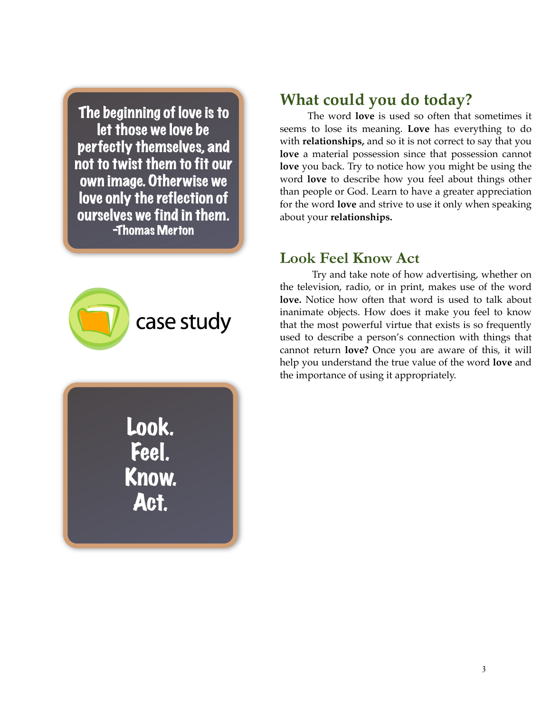The beginning of love is to let those we love be perfectly themselves, and not to twist them to fit our own image. Otherwise we love only the reflection of ourselves we find in them. -Thomas Merton



Look. Feel. Know. Act.

## **What could you do today?**

The word **love** is used so often that sometimes it seems to lose its meaning. **Love** has everything to do with **relationships,** and so it is not correct to say that you **love** a material possession since that possession cannot **love** you back. Try to notice how you might be using the word **love** to describe how you feel about things other than people or God. Learn to have a greater appreciation for the word **love** and strive to use it only when speaking about your **relationships.** 

#### **Look Feel Know Act**

Try and take note of how advertising, whether on the television, radio, or in print, makes use of the word **love.** Notice how often that word is used to talk about inanimate objects. How does it make you feel to know that the most powerful virtue that exists is so frequently used to describe a person's connection with things that cannot return **love?** Once you are aware of this, it will help you understand the true value of the word **love** and the importance of using it appropriately.